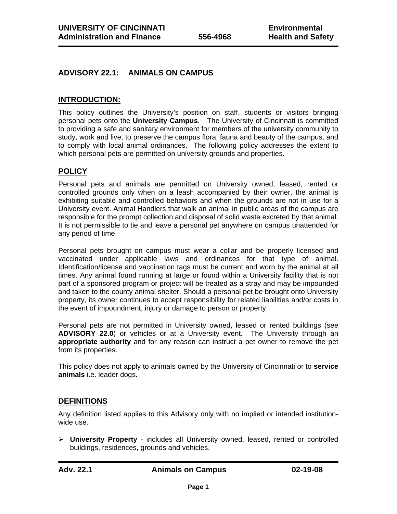# **ADVISORY 22.1: ANIMALS ON CAMPUS**

## **INTRODUCTION:**

This policy outlines the University's position on staff, students or visitors bringing personal pets onto the **University Campus**. The University of Cincinnati is committed to providing a safe and sanitary environment for members of the university community to study, work and live, to preserve the campus flora, fauna and beauty of the campus, and to comply with local animal ordinances. The following policy addresses the extent to which personal pets are permitted on university grounds and properties.

# **POLICY**

Personal pets and animals are permitted on University owned, leased, rented or controlled grounds only when on a leash accompanied by their owner, the animal is exhibiting suitable and controlled behaviors and when the grounds are not in use for a University event. Animal Handlers that walk an animal in public areas of the campus are responsible for the prompt collection and disposal of solid waste excreted by that animal. It is not permissible to tie and leave a personal pet anywhere on campus unattended for any period of time.

Personal pets brought on campus must wear a collar and be properly licensed and vaccinated under applicable laws and ordinances for that type of animal. Identification/license and vaccination tags must be current and worn by the animal at all times. Any animal found running at large or found within a University facility that is not part of a sponsored program or project will be treated as a stray and may be impounded and taken to the county animal shelter. Should a personal pet be brought onto University property, its owner continues to accept responsibility for related liabilities and/or costs in the event of impoundment, injury or damage to person or property.

Personal pets are not permitted in University owned, leased or rented buildings (see **ADVISORY 22.0**) or vehicles or at a University event. The University through an **appropriate authority** and for any reason can instruct a pet owner to remove the pet from its properties.

This policy does not apply to animals owned by the University of Cincinnati or to **service animals** i.e. leader dogs.

### **DEFINITIONS**

Any definition listed applies to this Advisory only with no implied or intended institutionwide use.

¾ **University Property** - includes all University owned, leased, rented or controlled buildings, residences, grounds and vehicles.